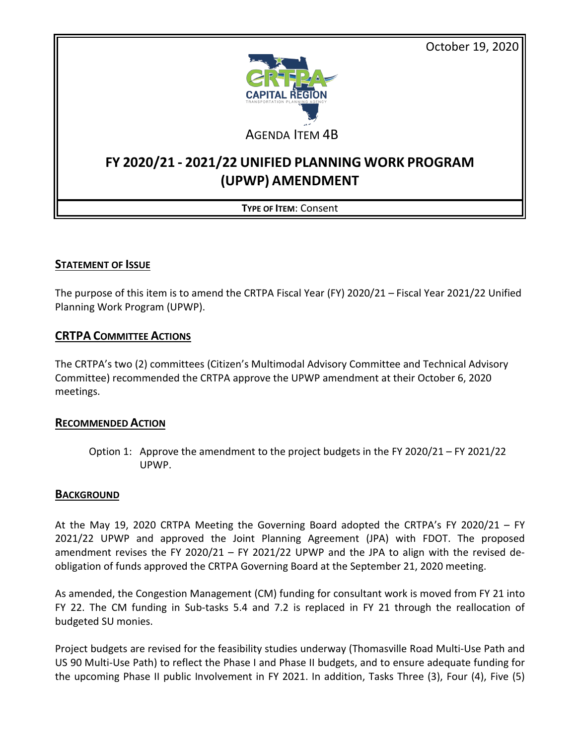October 19, 2020



AGENDA ITEM 4B

## **FY 2020/21 - 2021/22 UNIFIED PLANNING WORK PROGRAM (UPWP) AMENDMENT**

### **TYPE OF ITEM**: Consent

#### **STATEMENT OF ISSUE**

The purpose of this item is to amend the CRTPA Fiscal Year (FY) 2020/21 – Fiscal Year 2021/22 Unified Planning Work Program (UPWP).

#### **CRTPA COMMITTEE ACTIONS**

The CRTPA's two (2) committees (Citizen's Multimodal Advisory Committee and Technical Advisory Committee) recommended the CRTPA approve the UPWP amendment at their October 6, 2020 meetings.

#### **RECOMMENDED ACTION**

Option 1: Approve the amendment to the project budgets in the FY 2020/21 – FY 2021/22 UPWP.

#### **BACKGROUND**

At the May 19, 2020 CRTPA Meeting the Governing Board adopted the CRTPA's FY 2020/21 – FY 2021/22 UPWP and approved the Joint Planning Agreement (JPA) with FDOT. The proposed amendment revises the FY 2020/21 – FY 2021/22 UPWP and the JPA to align with the revised deobligation of funds approved the CRTPA Governing Board at the September 21, 2020 meeting.

As amended, the Congestion Management (CM) funding for consultant work is moved from FY 21 into FY 22. The CM funding in Sub-tasks 5.4 and 7.2 is replaced in FY 21 through the reallocation of budgeted SU monies.

Project budgets are revised for the feasibility studies underway (Thomasville Road Multi-Use Path and US 90 Multi-Use Path) to reflect the Phase I and Phase II budgets, and to ensure adequate funding for the upcoming Phase II public Involvement in FY 2021. In addition, Tasks Three (3), Four (4), Five (5)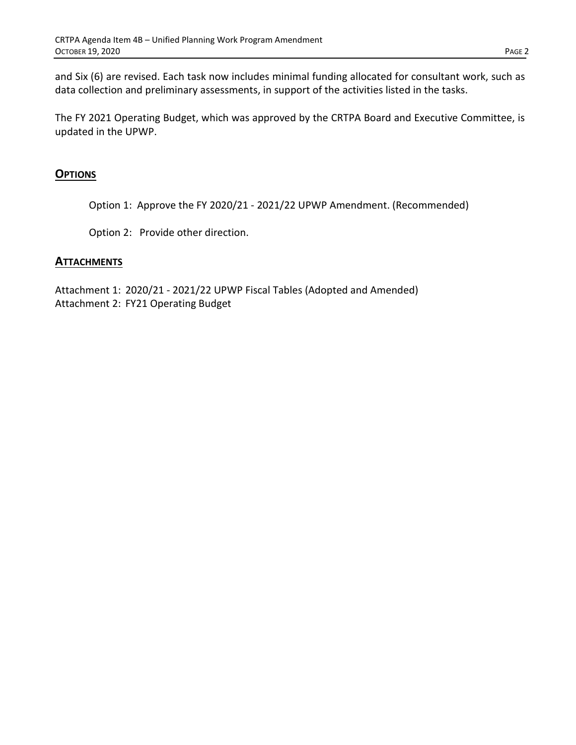and Six (6) are revised. Each task now includes minimal funding allocated for consultant work, such as data collection and preliminary assessments, in support of the activities listed in the tasks.

The FY 2021 Operating Budget, which was approved by the CRTPA Board and Executive Committee, is updated in the UPWP.

#### **OPTIONS**

Option 1: Approve the FY 2020/21 - 2021/22 UPWP Amendment. (Recommended)

Option 2: Provide other direction.

#### **ATTACHMENTS**

Attachment 1: 2020/21 - 2021/22 UPWP Fiscal Tables (Adopted and Amended) Attachment 2: FY21 Operating Budget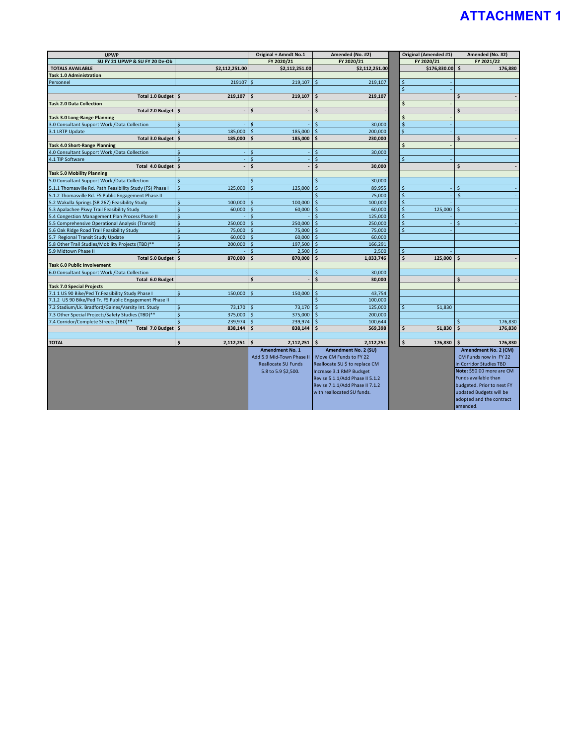# **ATTACHMENT 1**

| <b>UPWP</b>                                               |                                         | Original + Amndt No.1         | Amended (No. #2)                |                    | Original (Amended #1) | Amended (No. #2)           |
|-----------------------------------------------------------|-----------------------------------------|-------------------------------|---------------------------------|--------------------|-----------------------|----------------------------|
| SU FY 21 UPWP & SU FY 20 De-Ob                            |                                         | FY 2020/21                    | FY 2020/21                      | FY 2020/21         |                       | FY 2021/22                 |
| <b>TOTALS AVAILABLE</b>                                   | \$2,112,251.00                          | \$2,112,251.00                | \$2,112,251.00                  |                    | \$176,830.00          | \$<br>176,880              |
| <b>Task 1.0 Administration</b>                            |                                         |                               |                                 |                    |                       |                            |
| Personnel                                                 | 219107                                  | 219,107<br>Ŝ.                 | Ŝ.<br>219,107                   | \$                 |                       |                            |
|                                                           |                                         |                               |                                 | $\mathsf{\hat{S}}$ |                       |                            |
| Total 1.0 Budget \$                                       | 219,107                                 | Ś<br>219,107                  | 219,107<br>Ś                    |                    |                       | Ś                          |
| <b>Task 2.0 Data Collection</b>                           |                                         |                               |                                 | \$                 |                       |                            |
| <b>Total 2.0 Budget</b>                                   | <b>S</b>                                | Ś                             | Ś                               |                    |                       | Ś                          |
| <b>Task 3.0 Long-Range Planning</b>                       |                                         |                               |                                 | Ś                  |                       |                            |
| 3.0 Consultant Support Work /Data Collection              | Ś                                       | ¢,                            | 30,000                          | Ś                  |                       |                            |
| 3.1 LRTP Update                                           | 185,000<br>$\mathsf{S}$                 | 185,000<br>$\mathsf{\hat{S}}$ | 200,000                         | $\mathsf{\hat{S}}$ |                       |                            |
| <b>Total 3.0 Budget</b>                                   | Ś<br>185,000                            | 185,000                       | 230,000<br>Ś                    |                    |                       | Ś                          |
| <b>Task 4.0 Short-Range Planning</b>                      |                                         |                               |                                 | \$                 |                       |                            |
| 4.0 Consultant Support Work /Data Collection              | $\mathsf{\hat{S}}$                      | Ś                             | Ś<br>30,000                     |                    |                       |                            |
| 4.1 TIP Software                                          | $\mathsf{S}$                            | Ś                             | \$                              | Ś                  |                       |                            |
| Total 4.0 Budget \$                                       |                                         | Ś                             | 30,000<br>Ś                     |                    |                       | Ś                          |
| <b>Task 5.0 Mobility Planning</b>                         |                                         |                               |                                 |                    |                       |                            |
| 5.0 Consultant Support Work /Data Collection              | $\ddot{\mathsf{s}}$                     |                               | 30,000<br>Ś                     |                    |                       |                            |
| 5.1.1 Thomasville Rd. Path Feasibility Study (FS) Phase I | $\ddot{\mathsf{s}}$<br>125,000          | $\dot{\mathsf{S}}$<br>125,000 | $\mathsf{\hat{S}}$<br>89,955    | \$                 |                       | $\zeta$                    |
| 5.1.2 Thomasville Rd. FS Public Engagement Phase.II       |                                         |                               | 75,000                          | $\zeta$            |                       | $\mathsf{\hat{S}}$         |
| 5.2 Wakulla Springs (SR 267) Feasibility Study            | 100,000<br>$\ddot{\varsigma}$           | 100,000<br>\$                 | \$<br>100,000                   | $\overline{\xi}$   |                       |                            |
| 5.3 Apalachee Pkwy Trail Feasibility Study                | $\zeta$<br>60,000                       | 60,000<br>$\mathsf{\hat{S}}$  | 60,000<br>$\mathsf{\hat{S}}$    | \$                 | 125,000               | $\mathsf{S}$               |
| 5.4 Congestion Management Plan Process Phase II           | $\overline{\mathsf{S}}$                 |                               | 125,000                         | Ś                  |                       |                            |
| 5.5 Comprehensive Operational Analysis (Transit)          | $\mathsf{\hat{S}}$<br>250,000           | $\mathsf{\hat{S}}$            | $\mathsf{\hat{S}}$              | $\dot{\mathsf{S}}$ |                       | $\mathsf{\hat{S}}$         |
| 5.6 Oak Ridge Road Trail Feasibility Study                | $\zeta$                                 | 250,000                       | 250,000<br>$\mathsf{\hat{S}}$   | $\dot{\mathsf{S}}$ |                       |                            |
| 5.7 Regional Transit Study Update                         | 75,000<br>$\ddot{\mathsf{s}}$<br>60,000 | 75,000<br>60,000<br>Ŝ.        | 75,000<br>60,000<br>-Ś          |                    |                       |                            |
| 5.8 Other Trail Studies/Mobility Projects (TBD)**         | $\ddot{\mathsf{s}}$                     |                               |                                 |                    |                       |                            |
|                                                           | 200,000<br>$\zeta$                      | 197,500                       | 166,291                         |                    |                       |                            |
| 5.9 Midtown Phase II                                      |                                         | 2,500                         | 2,500                           | \$                 |                       |                            |
| <b>Total 5.0 Budget</b>                                   | 870,000<br>Ŝ.                           | 870,000                       | 1,033,746                       | Ś                  | 125,000               | -\$                        |
| Task 6.0 Public Involvement                               |                                         |                               |                                 |                    |                       |                            |
| 6.0 Consultant Support Work /Data Collection              |                                         |                               | 30,000<br>Ś                     |                    |                       |                            |
| Total 6.0 Budget                                          |                                         | Ś                             | \$<br>30,000                    |                    |                       | \$                         |
| <b>Task 7.0 Special Projects</b>                          |                                         |                               |                                 |                    |                       |                            |
| 7.1 1 US 90 Bike/Ped Tr.Feasibility Study Phase I         | $\ddot{\mathsf{S}}$<br>150,000          | Ś<br>150,000                  | Ś<br>43,754                     |                    |                       |                            |
| 7.1.2 US 90 Bike/Ped Tr. FS Public Engagement Phase II    |                                         |                               | 100,000                         |                    |                       |                            |
| 7.2 Stadium/Lk. Bradford/Gaines/Varsity Int. Study        | $\ddot{\varsigma}$<br>73,170            | $\mathsf{\hat{S}}$<br>73,170  | $\mathsf{S}$<br>125,000         | $\mathsf{\hat{S}}$ | 51,830                |                            |
| 7.3 Other Special Projects/Safety Studies (TBD)**         | $\mathsf{S}$<br>375,000                 | 375,000<br>$\mathsf{S}$       | 200.000                         |                    |                       |                            |
| 7.4 Corridor/Complete Streets (TBD)**                     | $\ddot{\mathsf{s}}$<br>239,974          | 239,974<br>\$                 | 100,644                         |                    |                       | 176,830                    |
| Total 7.0 Budget                                          | \$<br>838,144                           | \$<br>838,144                 | \$<br>569,398                   | \$                 | 51,830                | \$<br>176,830              |
|                                                           |                                         |                               |                                 |                    |                       |                            |
| <b>TOTAL</b>                                              | $\ddot{\bm{s}}$<br>2,112,251            | \$<br>2,112,251               | 2,112,251<br>Ś                  | \$                 | 176,830               | \$<br>176,830              |
|                                                           |                                         | <b>Amendment No. 1</b>        | Amendment No. 2 (SU)            |                    |                       | Amendment No. 2 (CM)       |
|                                                           |                                         | Add 5.9 Mid-Town Phase II     | Move CM Funds to FY 22          |                    |                       | CM Funds now in FY 22      |
|                                                           |                                         | <b>Reallocate SU Funds</b>    | Reallocate SU \$ to replace CM  |                    |                       | in Corridor Studies TBD    |
|                                                           |                                         | 5.8 to 5.9 \$2,500.           | Increase 3.1 RMP Budsget        |                    |                       | Note: \$50.00 more are CM  |
|                                                           |                                         |                               | Revise 5.1.1/Add Phase II 5.1.2 |                    |                       | Funds available than       |
|                                                           |                                         |                               | Revise 7.1.1/Add Phase II 7.1.2 |                    |                       | budgeted. Prior to next FY |
|                                                           |                                         |                               | with reallocated SU funds.      |                    |                       | updated Budgets will be    |
|                                                           |                                         |                               |                                 |                    |                       | adopted and the contract   |
|                                                           |                                         |                               |                                 |                    |                       | amended.                   |